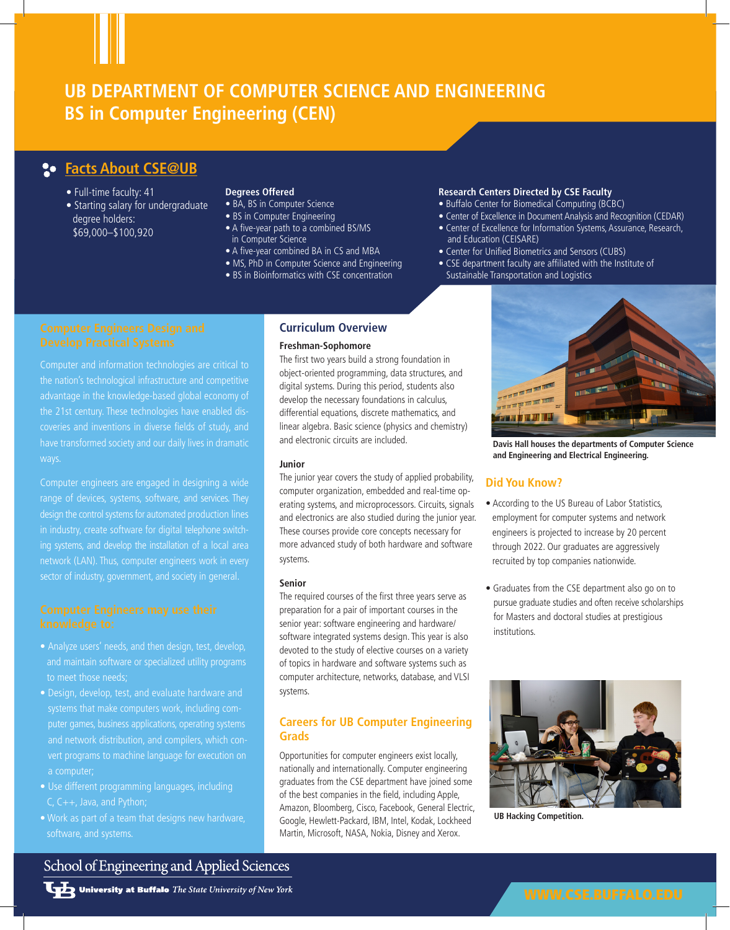# **UB DEPARTMENT OF COMPUTER SCIENCE AND ENGINEERING BS in Computer Engineering (CEN)**

## **Facts About CSE@UB**

- Full-time faculty: 41
- Starting salary for undergraduate degree holders: \$69,000–\$100,920

## **Degrees Offered**

- BA, BS in Computer Science
- BS in Computer Engineering
- A five-year path to a combined BS/MS in Computer Science
- A five-year combined BA in CS and MBA
- MS, PhD in Computer Science and Engineering
- BS in Bioinformatics with CSE concentration

### **Research Centers Directed by CSE Faculty**

- Buffalo Center for Biomedical Computing (BCBC)
- Center of Excellence in Document Analysis and Recognition (CEDAR) • Center of Excellence for Information Systems, Assurance, Research, and Education (CEISARE)
- Center for Unified Biometrics and Sensors (CUBS)
- CSE department faculty are affiliated with the Institute of Sustainable Transportation and Logistics

Computer and information technologies are critical to the nation's technological infrastructure and competitive the 21st century. These technologies have enabled discoveries and inventions in diverse fields of study, and have transformed society and our daily lives in dramatic

Computer engineers are engaged in designing a wide design the control systems for automated production lines sector of industry, government, and society in general.

- and maintain software or specialized utility programs to meet those needs;
- Design, develop, test, and evaluate hardware and puter games, business applications, operating systems a computer;
- Use different programming languages, including C, C++, Java, and Python;
- Work as part of a team that designs new hardware, software, and systems.

## **Curriculum Overview**

### **Freshman-Sophomore**

The first two years build a strong foundation in object-oriented programming, data structures, and digital systems. During this period, students also develop the necessary foundations in calculus, differential equations, discrete mathematics, and linear algebra. Basic science (physics and chemistry) and electronic circuits are included.

### **Junior**

The junior year covers the study of applied probability, computer organization, embedded and real-time operating systems, and microprocessors. Circuits, signals and electronics are also studied during the junior year. These courses provide core concepts necessary for more advanced study of both hardware and software systems.

### **Senior**

The required courses of the first three years serve as preparation for a pair of important courses in the senior year: software engineering and hardware/ software integrated systems design. This year is also devoted to the study of elective courses on a variety of topics in hardware and software systems such as computer architecture, networks, database, and VLSI systems.

## **Careers for UB Computer Engineering Grads**

Opportunities for computer engineers exist locally, nationally and internationally. Computer engineering graduates from the CSE department have joined some of the best companies in the field, including Apple, Amazon, Bloomberg, Cisco, Facebook, General Electric, Google, Hewlett-Packard, IBM, Intel, Kodak, Lockheed Martin, Microsoft, NASA, Nokia, Disney and Xerox.



**Davis Hall houses the departments of Computer Science and Engineering and Electrical Engineering.**

## **Did You Know?**

- According to the US Bureau of Labor Statistics, employment for computer systems and network engineers is projected to increase by 20 percent through 2022. Our graduates are aggressively recruited by top companies nationwide.
- Graduates from the CSE department also go on to pursue graduate studies and often receive scholarships for Masters and doctoral studies at prestigious institutions.



**UB Hacking Competition.**

## School of Engineering and Applied Sciences

**University at Buffalo** The State University of New York

## WWW.CSE.BUFFALO.EDU